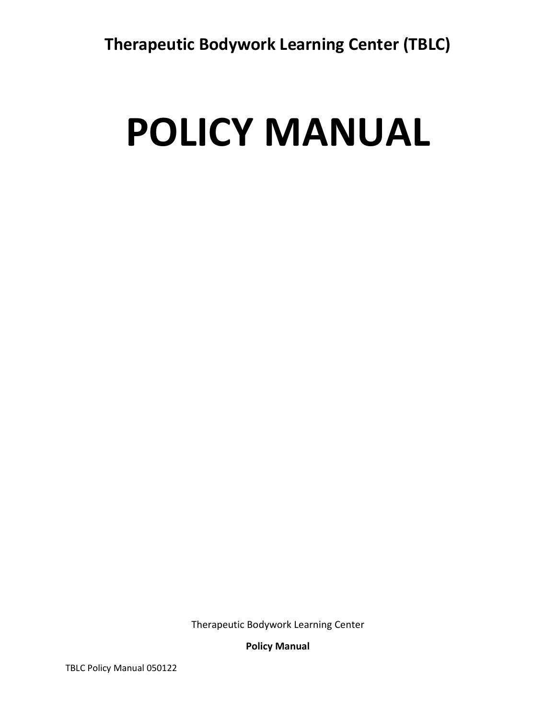# **POLICY MANUAL**

Therapeutic Bodywork Learning Center

**Policy Manual**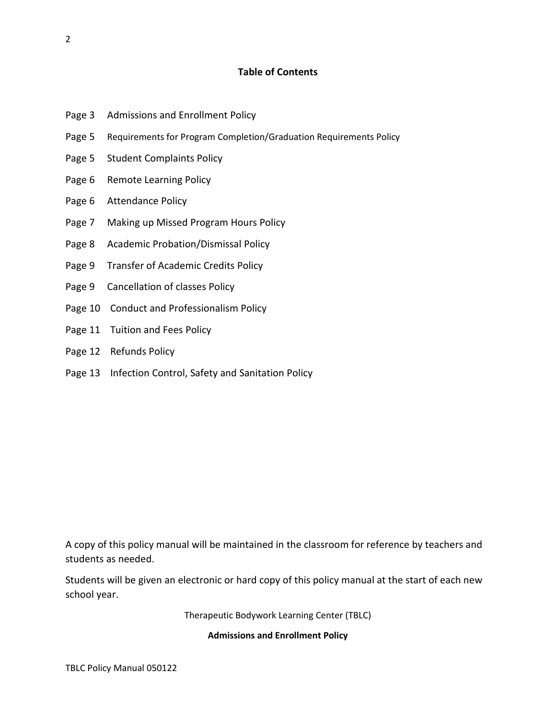# **Table of Contents**

- Page 3 Admissions and Enrollment Policy
- Page 5 Requirements for Program Completion/Graduation Requirements Policy
- Page 5 Student Complaints Policy
- Page 6 Remote Learning Policy
- Page 6 Attendance Policy
- Page 7 Making up Missed Program Hours Policy
- Page 8 Academic Probation/Dismissal Policy
- Page 9 Transfer of Academic Credits Policy
- Page 9 Cancellation of classes Policy
- Page 10 Conduct and Professionalism Policy
- Page 11 Tuition and Fees Policy
- Page 12 Refunds Policy
- Page 13 Infection Control, Safety and Sanitation Policy

A copy of this policy manual will be maintained in the classroom for reference by teachers and students as needed.

Students will be given an electronic or hard copy of this policy manual at the start of each new school year.

Therapeutic Bodywork Learning Center (TBLC)

**Admissions and Enrollment Policy**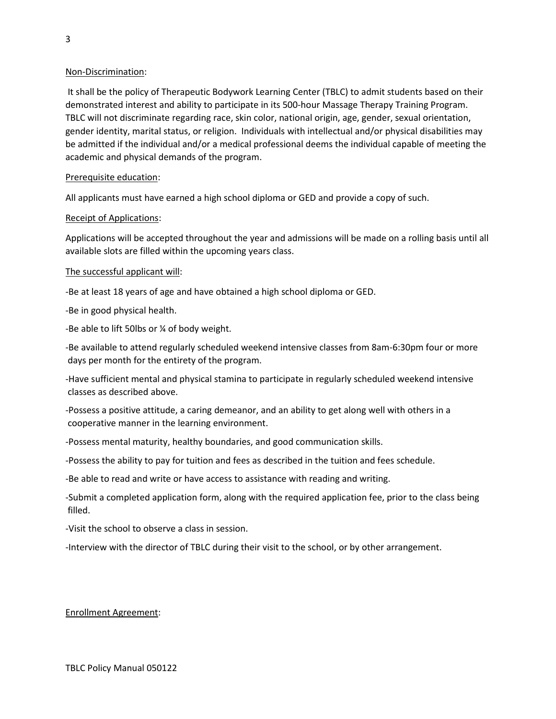## Non-Discrimination:

 It shall be the policy of Therapeutic Bodywork Learning Center (TBLC) to admit students based on their demonstrated interest and ability to participate in its 500-hour Massage Therapy Training Program. TBLC will not discriminate regarding race, skin color, national origin, age, gender, sexual orientation, gender identity, marital status, or religion. Individuals with intellectual and/or physical disabilities may be admitted if the individual and/or a medical professional deems the individual capable of meeting the academic and physical demands of the program.

## Prerequisite education:

All applicants must have earned a high school diploma or GED and provide a copy of such.

## Receipt of Applications:

Applications will be accepted throughout the year and admissions will be made on a rolling basis until all available slots are filled within the upcoming years class.

#### The successful applicant will:

-Be at least 18 years of age and have obtained a high school diploma or GED.

-Be in good physical health.

-Be able to lift 50lbs or ¼ of body weight.

-Be available to attend regularly scheduled weekend intensive classes from 8am-6:30pm four or more days per month for the entirety of the program.

-Have sufficient mental and physical stamina to participate in regularly scheduled weekend intensive classes as described above.

-Possess a positive attitude, a caring demeanor, and an ability to get along well with others in a cooperative manner in the learning environment.

-Possess mental maturity, healthy boundaries, and good communication skills.

-Possess the ability to pay for tuition and fees as described in the tuition and fees schedule.

-Be able to read and write or have access to assistance with reading and writing.

-Submit a completed application form, along with the required application fee, prior to the class being filled.

-Visit the school to observe a class in session.

-Interview with the director of TBLC during their visit to the school, or by other arrangement.

# Enrollment Agreement: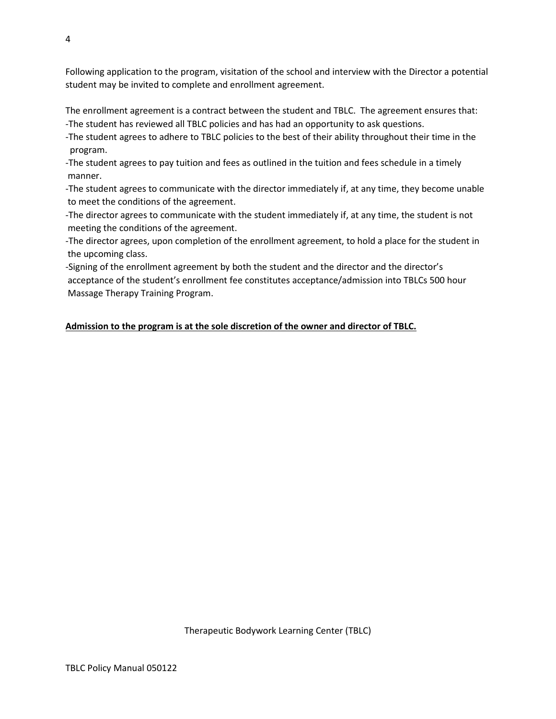Following application to the program, visitation of the school and interview with the Director a potential student may be invited to complete and enrollment agreement.

The enrollment agreement is a contract between the student and TBLC. The agreement ensures that: -The student has reviewed all TBLC policies and has had an opportunity to ask questions.

-The student agrees to adhere to TBLC policies to the best of their ability throughout their time in the program.

-The student agrees to pay tuition and fees as outlined in the tuition and fees schedule in a timely manner.

-The student agrees to communicate with the director immediately if, at any time, they become unable to meet the conditions of the agreement.

-The director agrees to communicate with the student immediately if, at any time, the student is not meeting the conditions of the agreement.

-The director agrees, upon completion of the enrollment agreement, to hold a place for the student in the upcoming class.

-Signing of the enrollment agreement by both the student and the director and the director's acceptance of the student's enrollment fee constitutes acceptance/admission into TBLCs 500 hour Massage Therapy Training Program.

# **Admission to the program is at the sole discretion of the owner and director of TBLC.**

4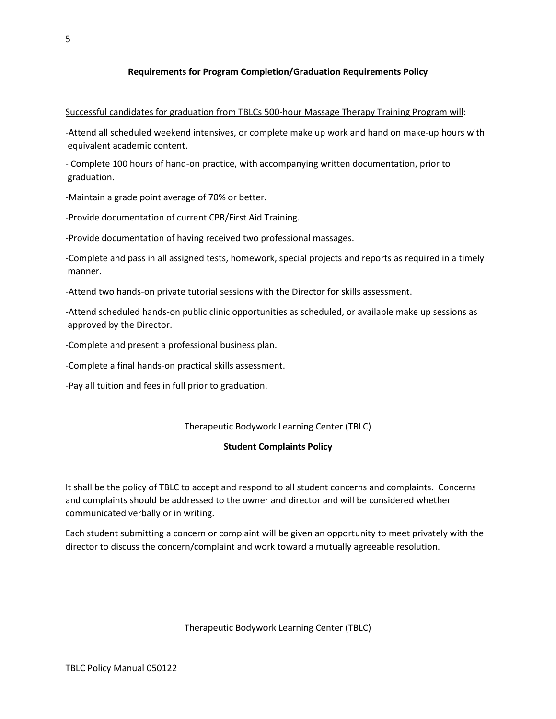## **Requirements for Program Completion/Graduation Requirements Policy**

#### Successful candidates for graduation from TBLCs 500-hour Massage Therapy Training Program will:

-Attend all scheduled weekend intensives, or complete make up work and hand on make-up hours with equivalent academic content.

- Complete 100 hours of hand-on practice, with accompanying written documentation, prior to graduation.

-Maintain a grade point average of 70% or better.

-Provide documentation of current CPR/First Aid Training.

-Provide documentation of having received two professional massages.

-Complete and pass in all assigned tests, homework, special projects and reports as required in a timely manner.

-Attend two hands-on private tutorial sessions with the Director for skills assessment.

-Attend scheduled hands-on public clinic opportunities as scheduled, or available make up sessions as approved by the Director.

-Complete and present a professional business plan.

-Complete a final hands-on practical skills assessment.

-Pay all tuition and fees in full prior to graduation.

#### Therapeutic Bodywork Learning Center (TBLC)

#### **Student Complaints Policy**

It shall be the policy of TBLC to accept and respond to all student concerns and complaints. Concerns and complaints should be addressed to the owner and director and will be considered whether communicated verbally or in writing.

Each student submitting a concern or complaint will be given an opportunity to meet privately with the director to discuss the concern/complaint and work toward a mutually agreeable resolution.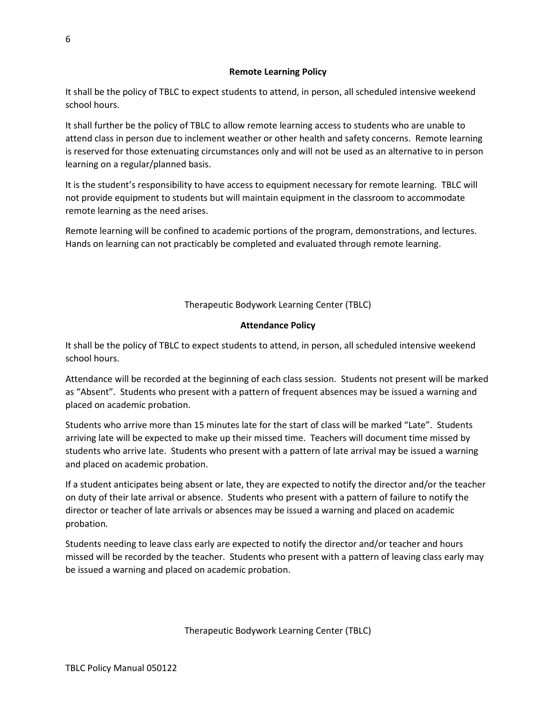# **Remote Learning Policy**

It shall be the policy of TBLC to expect students to attend, in person, all scheduled intensive weekend school hours.

It shall further be the policy of TBLC to allow remote learning access to students who are unable to attend class in person due to inclement weather or other health and safety concerns. Remote learning is reserved for those extenuating circumstances only and will not be used as an alternative to in person learning on a regular/planned basis.

It is the student's responsibility to have access to equipment necessary for remote learning. TBLC will not provide equipment to students but will maintain equipment in the classroom to accommodate remote learning as the need arises.

Remote learning will be confined to academic portions of the program, demonstrations, and lectures. Hands on learning can not practicably be completed and evaluated through remote learning.

# Therapeutic Bodywork Learning Center (TBLC)

## **Attendance Policy**

It shall be the policy of TBLC to expect students to attend, in person, all scheduled intensive weekend school hours.

Attendance will be recorded at the beginning of each class session. Students not present will be marked as "Absent". Students who present with a pattern of frequent absences may be issued a warning and placed on academic probation.

Students who arrive more than 15 minutes late for the start of class will be marked "Late". Students arriving late will be expected to make up their missed time. Teachers will document time missed by students who arrive late. Students who present with a pattern of late arrival may be issued a warning and placed on academic probation.

If a student anticipates being absent or late, they are expected to notify the director and/or the teacher on duty of their late arrival or absence. Students who present with a pattern of failure to notify the director or teacher of late arrivals or absences may be issued a warning and placed on academic probation.

Students needing to leave class early are expected to notify the director and/or teacher and hours missed will be recorded by the teacher. Students who present with a pattern of leaving class early may be issued a warning and placed on academic probation.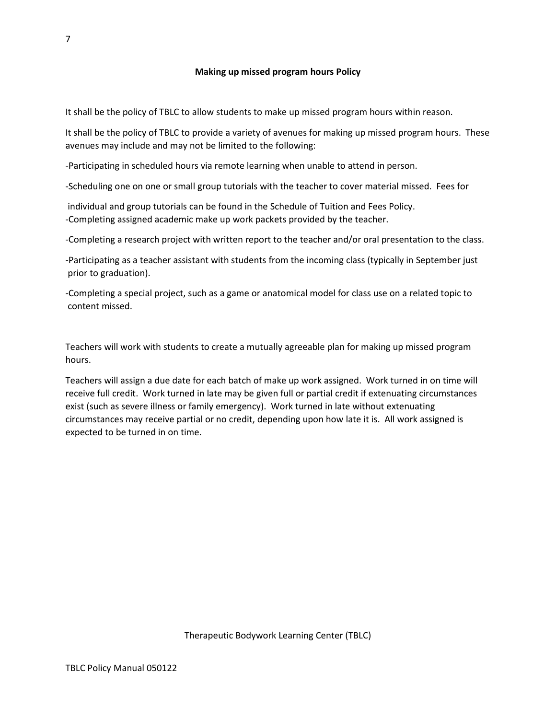It shall be the policy of TBLC to allow students to make up missed program hours within reason.

It shall be the policy of TBLC to provide a variety of avenues for making up missed program hours. These avenues may include and may not be limited to the following:

-Participating in scheduled hours via remote learning when unable to attend in person.

-Scheduling one on one or small group tutorials with the teacher to cover material missed. Fees for

 individual and group tutorials can be found in the Schedule of Tuition and Fees Policy. -Completing assigned academic make up work packets provided by the teacher.

-Completing a research project with written report to the teacher and/or oral presentation to the class.

-Participating as a teacher assistant with students from the incoming class (typically in September just prior to graduation).

-Completing a special project, such as a game or anatomical model for class use on a related topic to content missed.

Teachers will work with students to create a mutually agreeable plan for making up missed program hours.

Teachers will assign a due date for each batch of make up work assigned. Work turned in on time will receive full credit. Work turned in late may be given full or partial credit if extenuating circumstances exist (such as severe illness or family emergency). Work turned in late without extenuating circumstances may receive partial or no credit, depending upon how late it is. All work assigned is expected to be turned in on time.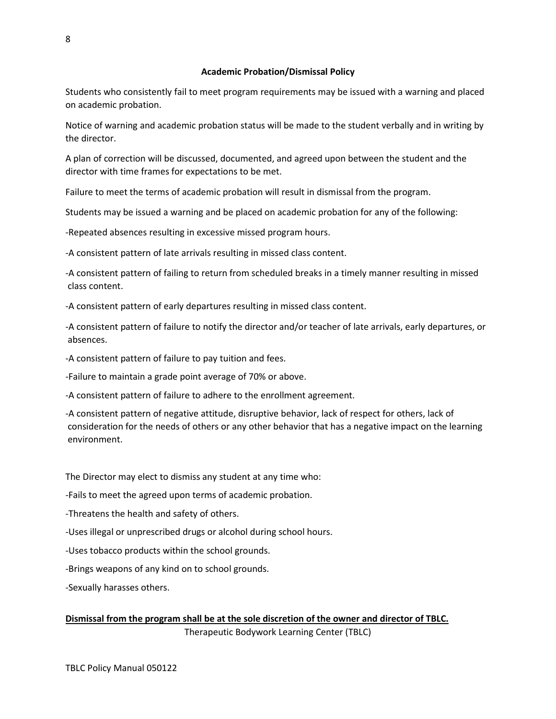Students who consistently fail to meet program requirements may be issued with a warning and placed on academic probation.

Notice of warning and academic probation status will be made to the student verbally and in writing by the director.

A plan of correction will be discussed, documented, and agreed upon between the student and the director with time frames for expectations to be met.

Failure to meet the terms of academic probation will result in dismissal from the program.

Students may be issued a warning and be placed on academic probation for any of the following:

-Repeated absences resulting in excessive missed program hours.

-A consistent pattern of late arrivals resulting in missed class content.

-A consistent pattern of failing to return from scheduled breaks in a timely manner resulting in missed class content.

-A consistent pattern of early departures resulting in missed class content.

-A consistent pattern of failure to notify the director and/or teacher of late arrivals, early departures, or absences.

-A consistent pattern of failure to pay tuition and fees.

-Failure to maintain a grade point average of 70% or above.

-A consistent pattern of failure to adhere to the enrollment agreement.

-A consistent pattern of negative attitude, disruptive behavior, lack of respect for others, lack of consideration for the needs of others or any other behavior that has a negative impact on the learning environment.

The Director may elect to dismiss any student at any time who:

-Fails to meet the agreed upon terms of academic probation.

-Threatens the health and safety of others.

-Uses illegal or unprescribed drugs or alcohol during school hours.

-Uses tobacco products within the school grounds.

-Brings weapons of any kind on to school grounds.

-Sexually harasses others.

**Dismissal from the program shall be at the sole discretion of the owner and director of TBLC.** Therapeutic Bodywork Learning Center (TBLC)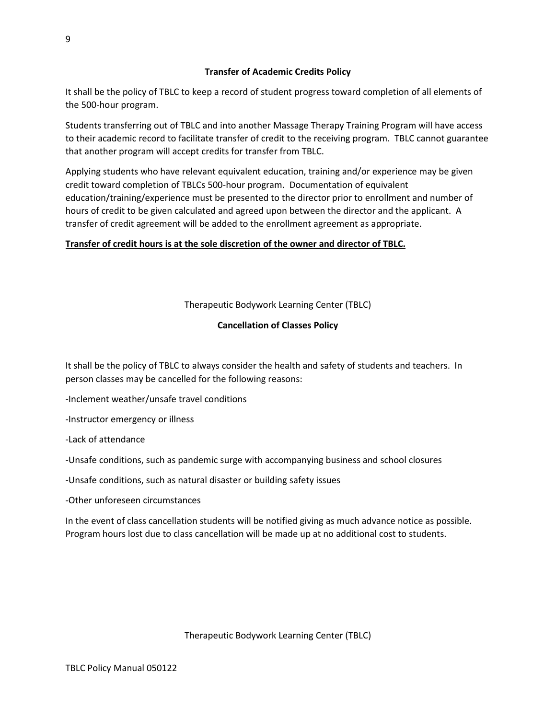9

# **Transfer of Academic Credits Policy**

It shall be the policy of TBLC to keep a record of student progress toward completion of all elements of the 500-hour program.

Students transferring out of TBLC and into another Massage Therapy Training Program will have access to their academic record to facilitate transfer of credit to the receiving program. TBLC cannot guarantee that another program will accept credits for transfer from TBLC.

Applying students who have relevant equivalent education, training and/or experience may be given credit toward completion of TBLCs 500-hour program. Documentation of equivalent education/training/experience must be presented to the director prior to enrollment and number of hours of credit to be given calculated and agreed upon between the director and the applicant. A transfer of credit agreement will be added to the enrollment agreement as appropriate.

# **Transfer of credit hours is at the sole discretion of the owner and director of TBLC.**

# Therapeutic Bodywork Learning Center (TBLC)

# **Cancellation of Classes Policy**

It shall be the policy of TBLC to always consider the health and safety of students and teachers. In person classes may be cancelled for the following reasons:

-Inclement weather/unsafe travel conditions

-Instructor emergency or illness

-Lack of attendance

-Unsafe conditions, such as pandemic surge with accompanying business and school closures

-Unsafe conditions, such as natural disaster or building safety issues

-Other unforeseen circumstances

In the event of class cancellation students will be notified giving as much advance notice as possible. Program hours lost due to class cancellation will be made up at no additional cost to students.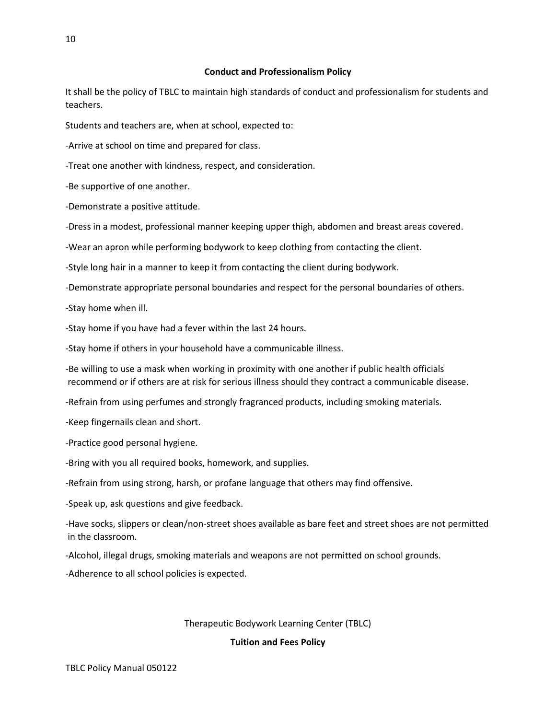### **Conduct and Professionalism Policy**

It shall be the policy of TBLC to maintain high standards of conduct and professionalism for students and teachers.

Students and teachers are, when at school, expected to:

-Arrive at school on time and prepared for class.

-Treat one another with kindness, respect, and consideration.

-Be supportive of one another.

-Demonstrate a positive attitude.

-Dress in a modest, professional manner keeping upper thigh, abdomen and breast areas covered.

-Wear an apron while performing bodywork to keep clothing from contacting the client.

-Style long hair in a manner to keep it from contacting the client during bodywork.

-Demonstrate appropriate personal boundaries and respect for the personal boundaries of others.

-Stay home when ill.

-Stay home if you have had a fever within the last 24 hours.

-Stay home if others in your household have a communicable illness.

-Be willing to use a mask when working in proximity with one another if public health officials recommend or if others are at risk for serious illness should they contract a communicable disease.

-Refrain from using perfumes and strongly fragranced products, including smoking materials.

-Keep fingernails clean and short.

-Practice good personal hygiene.

-Bring with you all required books, homework, and supplies.

-Refrain from using strong, harsh, or profane language that others may find offensive.

-Speak up, ask questions and give feedback.

-Have socks, slippers or clean/non-street shoes available as bare feet and street shoes are not permitted in the classroom.

-Alcohol, illegal drugs, smoking materials and weapons are not permitted on school grounds.

-Adherence to all school policies is expected.

#### Therapeutic Bodywork Learning Center (TBLC)

**Tuition and Fees Policy**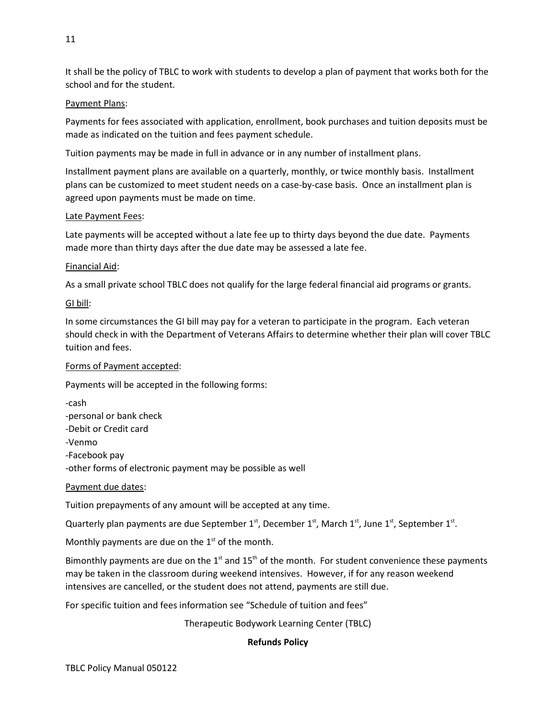It shall be the policy of TBLC to work with students to develop a plan of payment that works both for the school and for the student.

# Payment Plans:

Payments for fees associated with application, enrollment, book purchases and tuition deposits must be made as indicated on the tuition and fees payment schedule.

Tuition payments may be made in full in advance or in any number of installment plans.

Installment payment plans are available on a quarterly, monthly, or twice monthly basis. Installment plans can be customized to meet student needs on a case-by-case basis. Once an installment plan is agreed upon payments must be made on time.

# Late Payment Fees:

Late payments will be accepted without a late fee up to thirty days beyond the due date. Payments made more than thirty days after the due date may be assessed a late fee.

# Financial Aid:

As a small private school TBLC does not qualify for the large federal financial aid programs or grants.

# GI bill:

In some circumstances the GI bill may pay for a veteran to participate in the program. Each veteran should check in with the Department of Veterans Affairs to determine whether their plan will cover TBLC tuition and fees.

# Forms of Payment accepted:

Payments will be accepted in the following forms:

-cash -personal or bank check -Debit or Credit card -Venmo -Facebook pay -other forms of electronic payment may be possible as well

# Payment due dates:

Tuition prepayments of any amount will be accepted at any time.

Quarterly plan payments are due September 1<sup>st</sup>, December 1<sup>st</sup>, March 1<sup>st</sup>, June 1<sup>st</sup>, September 1<sup>st</sup>.

Monthly payments are due on the  $1<sup>st</sup>$  of the month.

Bimonthly payments are due on the  $1<sup>st</sup>$  and  $15<sup>th</sup>$  of the month. For student convenience these payments may be taken in the classroom during weekend intensives. However, if for any reason weekend intensives are cancelled, or the student does not attend, payments are still due.

For specific tuition and fees information see "Schedule of tuition and fees"

Therapeutic Bodywork Learning Center (TBLC)

# **Refunds Policy**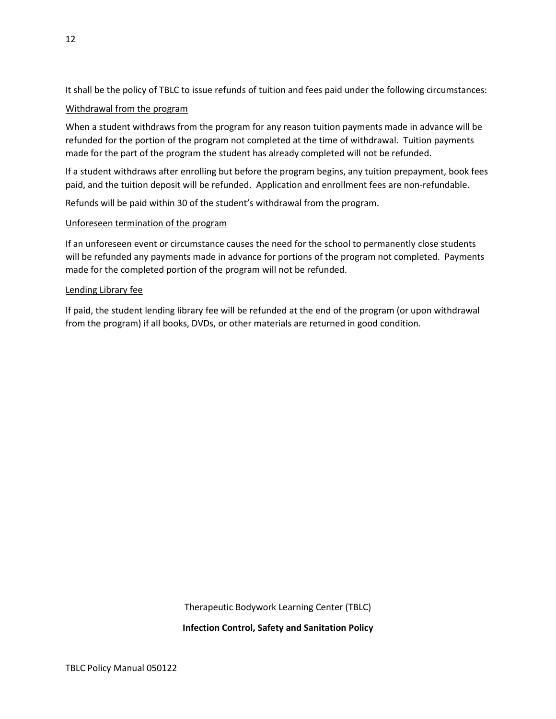It shall be the policy of TBLC to issue refunds of tuition and fees paid under the following circumstances:

# Withdrawal from the program

When a student withdraws from the program for any reason tuition payments made in advance will be refunded for the portion of the program not completed at the time of withdrawal. Tuition payments made for the part of the program the student has already completed will not be refunded.

If a student withdraws after enrolling but before the program begins, any tuition prepayment, book fees paid, and the tuition deposit will be refunded. Application and enrollment fees are non-refundable.

Refunds will be paid within 30 of the student's withdrawal from the program.

# Unforeseen termination of the program

If an unforeseen event or circumstance causes the need for the school to permanently close students will be refunded any payments made in advance for portions of the program not completed. Payments made for the completed portion of the program will not be refunded.

# Lending Library fee

If paid, the student lending library fee will be refunded at the end of the program (or upon withdrawal from the program) if all books, DVDs, or other materials are returned in good condition.

Therapeutic Bodywork Learning Center (TBLC)

**Infection Control, Safety and Sanitation Policy**